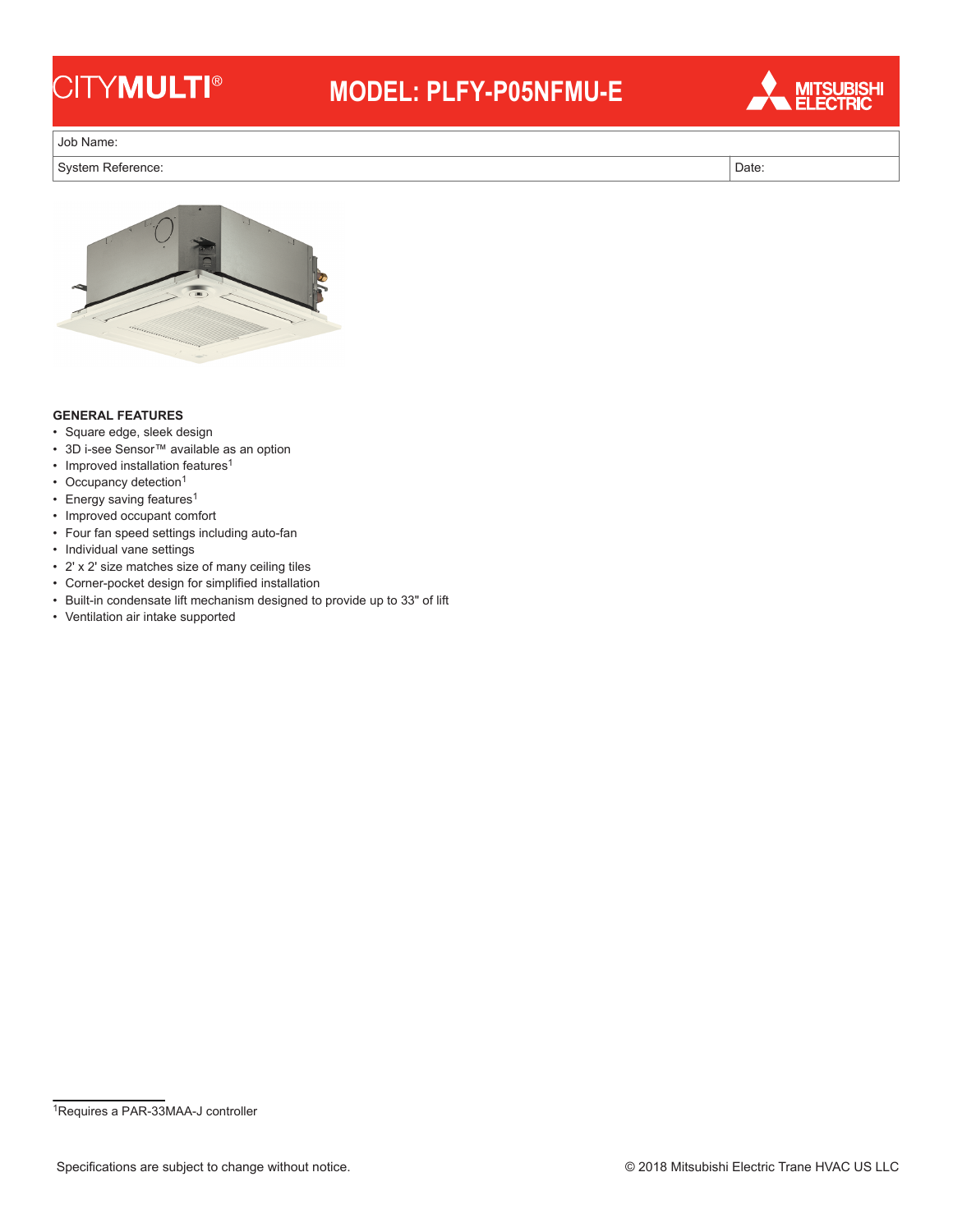# **CITYMULTI®**

## **MODEL: PLFY-P05NFMU-E**



Job Name:

System Reference: Date: Date: Date: Date: Date: Date: Date: Date: Date: Date: Date: Date: Date: Date: Date: Date: Date: Date: Date: Date: Date: Date: Date: Date: Date: Date: Date: Date: Date: Date: Date: Date: Date: Date:



#### **GENERAL FEATURES**

- Square edge, sleek design
- 3D i-see Sensor™ available as an option
- Improved installation features<sup>1</sup>
- Occupancy detection<sup>1</sup>
- Energy saving features<sup>1</sup>
- Improved occupant comfort
- Four fan speed settings including auto-fan
- Individual vane settings
- 2' x 2' size matches size of many ceiling tiles
- Corner-pocket design for simplified installation
- Built-in condensate lift mechanism designed to provide up to 33" of lift
- Ventilation air intake supported

<sup>1</sup>Requires a PAR-33MAA-J controller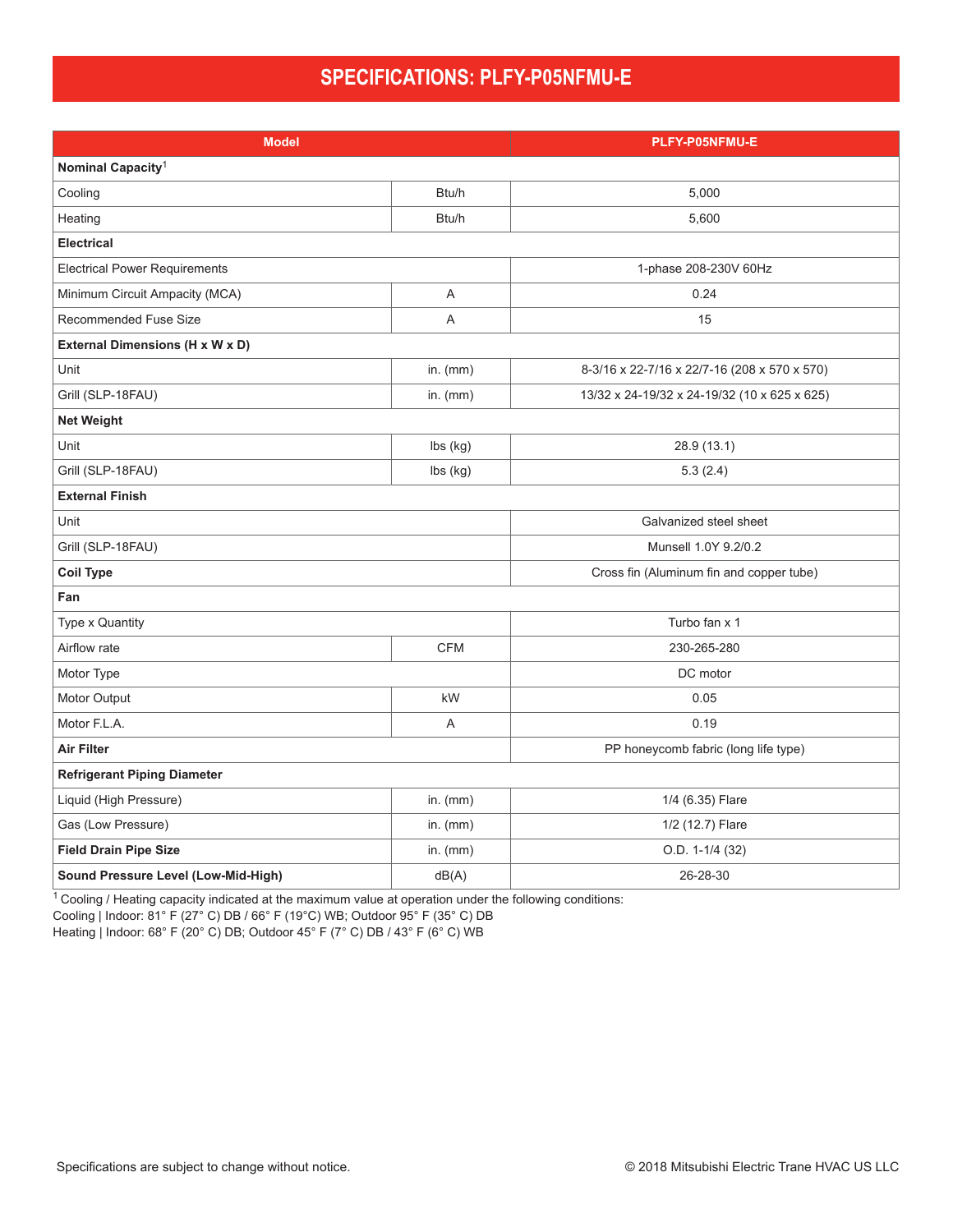### **SPECIFICATIONS: PLFY-P05NFMU-E**

| <b>Model</b>                         |                             | PLFY-P05NFMU-E                               |
|--------------------------------------|-----------------------------|----------------------------------------------|
| Nominal Capacity <sup>1</sup>        |                             |                                              |
| Cooling                              | Btu/h                       | 5,000                                        |
| Heating                              | Btu/h                       | 5,600                                        |
| <b>Electrical</b>                    |                             |                                              |
| <b>Electrical Power Requirements</b> |                             | 1-phase 208-230V 60Hz                        |
| Minimum Circuit Ampacity (MCA)       | Α                           | 0.24                                         |
| Recommended Fuse Size                | Α                           | 15                                           |
| External Dimensions (H x W x D)      |                             |                                              |
| Unit                                 | in. $(mm)$                  | 8-3/16 x 22-7/16 x 22/7-16 (208 x 570 x 570) |
| Grill (SLP-18FAU)                    | in. $(mm)$                  | 13/32 x 24-19/32 x 24-19/32 (10 x 625 x 625) |
| <b>Net Weight</b>                    |                             |                                              |
| Unit                                 | $\mathsf{lbs}(\mathsf{kg})$ | 28.9 (13.1)                                  |
| Grill (SLP-18FAU)                    | $\mathsf{lbs}(\mathsf{kg})$ | 5.3(2.4)                                     |
| <b>External Finish</b>               |                             |                                              |
| Unit                                 |                             | Galvanized steel sheet                       |
| Grill (SLP-18FAU)                    |                             | Munsell 1.0Y 9.2/0.2                         |
| <b>Coil Type</b>                     |                             | Cross fin (Aluminum fin and copper tube)     |
| Fan                                  |                             |                                              |
| Type x Quantity                      |                             | Turbo fan x 1                                |
| Airflow rate                         | <b>CFM</b>                  | 230-265-280                                  |
| Motor Type                           |                             | DC motor                                     |
| Motor Output                         | kW                          | 0.05                                         |
| Motor F.L.A.                         | A                           | 0.19                                         |
| <b>Air Filter</b>                    |                             | PP honeycomb fabric (long life type)         |
| <b>Refrigerant Piping Diameter</b>   |                             |                                              |
| Liquid (High Pressure)               | in. $(mm)$                  | 1/4 (6.35) Flare                             |
| Gas (Low Pressure)                   | in. $(mm)$                  | 1/2 (12.7) Flare                             |
| <b>Field Drain Pipe Size</b>         | in. $(mm)$                  | $O.D. 1-1/4 (32)$                            |
| Sound Pressure Level (Low-Mid-High)  | dB(A)                       | 26-28-30                                     |

<sup>1</sup>Cooling / Heating capacity indicated at the maximum value at operation under the following conditions:

Cooling | Indoor: 81° F (27° C) DB / 66° F (19°C) WB; Outdoor 95° F (35° C) DB

Heating | Indoor: 68° F (20° C) DB; Outdoor 45° F (7° C) DB / 43° F (6° C) WB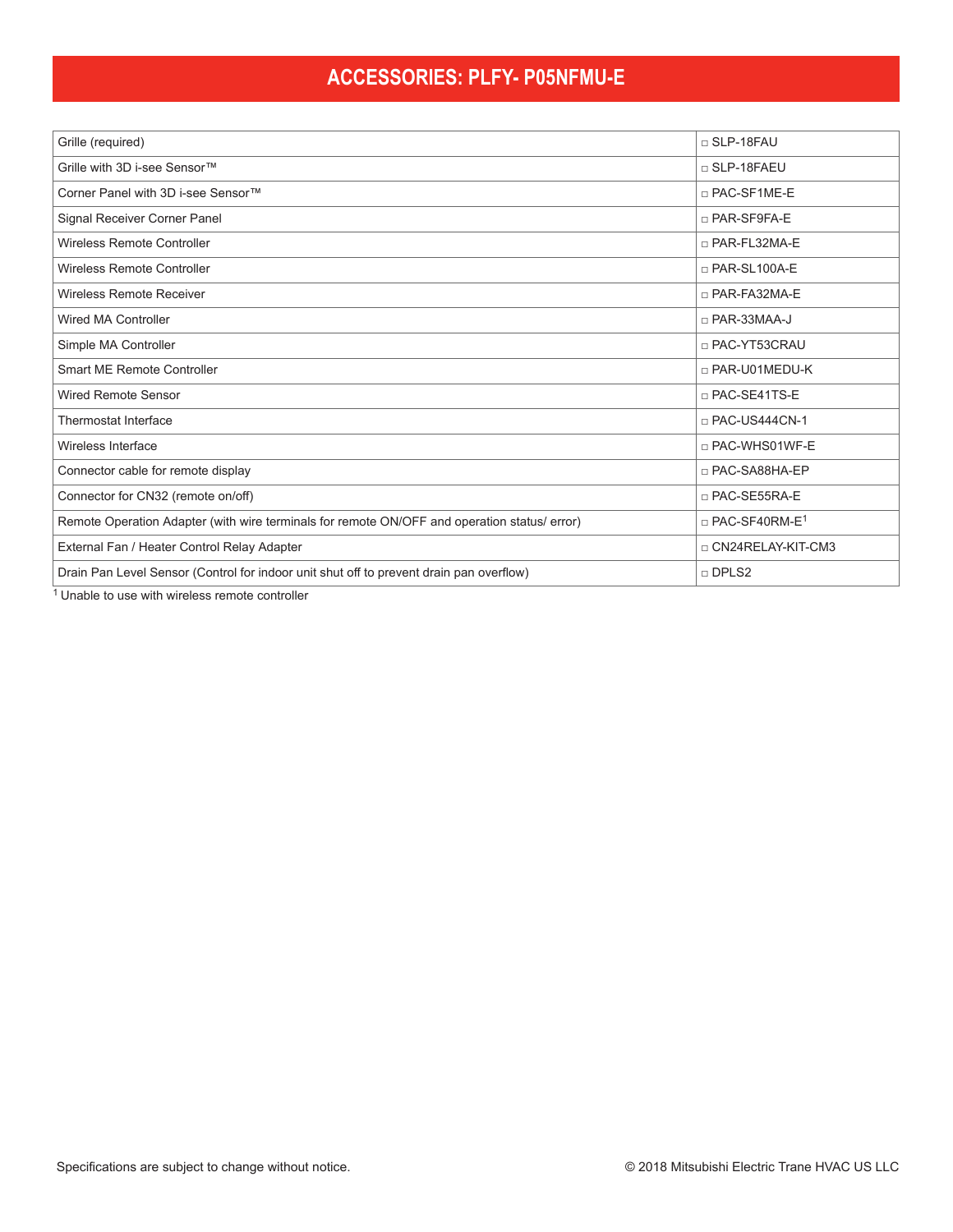### **ACCESSORIES: PLFY- P05NFMU-E**

| Grille (required)                                                                            | $\sqcap$ SLP-18FAU               |
|----------------------------------------------------------------------------------------------|----------------------------------|
| Grille with 3D i-see Sensor™                                                                 | □ SLP-18FAEU                     |
| Corner Panel with 3D i-see Sensor™                                                           | $\Box$ PAC-SF1ME-E               |
| Signal Receiver Corner Panel                                                                 | $\sqcap$ PAR-SF9FA-E             |
| Wireless Remote Controller                                                                   | $\Box$ PAR-FL32MA-E              |
| Wireless Remote Controller                                                                   | $\Box$ PAR-SL100A-E              |
| Wireless Remote Receiver                                                                     | $\Box$ PAR-FA32MA-E              |
| Wired MA Controller                                                                          | $\Box$ PAR-33MAA-J               |
| Simple MA Controller                                                                         | □ PAC-YT53CRAU                   |
| Smart ME Remote Controller                                                                   | D PAR-U01MEDU-K                  |
| Wired Remote Sensor                                                                          | $\Box$ PAC-SE41TS-E              |
| Thermostat Interface                                                                         | $\Box$ PAC-US444CN-1             |
| Wireless Interface                                                                           | □ PAC-WHS01WF-E                  |
| Connector cable for remote display                                                           | □ PAC-SA88HA-EP                  |
| Connector for CN32 (remote on/off)                                                           | □ PAC-SE55RA-E                   |
| Remote Operation Adapter (with wire terminals for remote ON/OFF and operation status/ error) | $\Box$ PAC-SF40RM-E <sup>1</sup> |
| External Fan / Heater Control Relay Adapter                                                  | □ CN24RELAY-KIT-CM3              |
| Drain Pan Level Sensor (Control for indoor unit shut off to prevent drain pan overflow)      | □ DPLS2                          |

 $1$  Unable to use with wireless remote controller